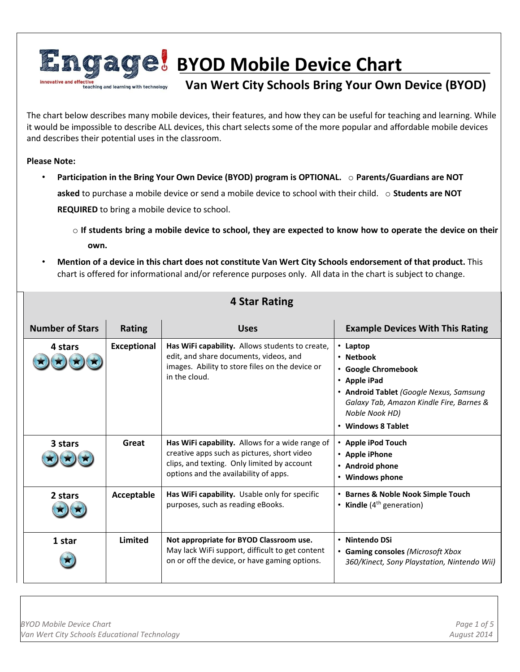

The chart below describes many mobile devices, their features, and how they can be useful for teaching and learning. While it would be impossible to describe ALL devices, this chart selects some of the more popular and affordable mobile devices and describes their potential uses in the classroom.

**Please Note:** 

- **Participation in the Bring Your Own Device (BYOD) program is OPTIONAL.** o **Parents/Guardians are NOT asked** to purchase a mobile device or send a mobile device to school with their child. o **Students are NOT REQUIRED** to bring a mobile device to school.
	- o **If students bring a mobile device to school, they are expected to know how to operate the device on their own.**
- **Mention of a device in this chart does not constitute Van Wert City Schools endorsement of that product.** This chart is offered for informational and/or reference purposes only. All data in the chart is subject to change.

| <b>Number of Stars</b> | <b>Rating</b>      | <b>Uses</b>                                                                                                                                                                            | <b>Example Devices With This Rating</b>                                                                                                                                                           |
|------------------------|--------------------|----------------------------------------------------------------------------------------------------------------------------------------------------------------------------------------|---------------------------------------------------------------------------------------------------------------------------------------------------------------------------------------------------|
| 4 stars                | <b>Exceptional</b> | Has WiFi capability. Allows students to create,<br>edit, and share documents, videos, and<br>images. Ability to store files on the device or<br>in the cloud.                          | $\cdot$ Laptop<br>• Netbook<br>• Google Chromebook<br>• Apple iPad<br>• Android Tablet (Google Nexus, Samsung<br>Galaxy Tab, Amazon Kindle Fire, Barnes &<br>Noble Nook HD)<br>• Windows 8 Tablet |
| 3 stars                | Great              | Has WiFi capability. Allows for a wide range of<br>creative apps such as pictures, short video<br>clips, and texting. Only limited by account<br>options and the availability of apps. | • Apple iPod Touch<br>• Apple iPhone<br>• Android phone<br>• Windows phone                                                                                                                        |
| 2 stars                | Acceptable         | Has WiFi capability. Usable only for specific<br>purposes, such as reading eBooks.                                                                                                     | • Barnes & Noble Nook Simple Touch<br>• Kindle $(4th$ generation)                                                                                                                                 |
| 1 star                 | Limited            | Not appropriate for BYOD Classroom use.<br>May lack WiFi support, difficult to get content<br>on or off the device, or have gaming options.                                            | • Nintendo DSi<br>• Gaming consoles (Microsoft Xbox<br>360/Kinect, Sony Playstation, Nintendo Wii)                                                                                                |

## **4 Star Rating**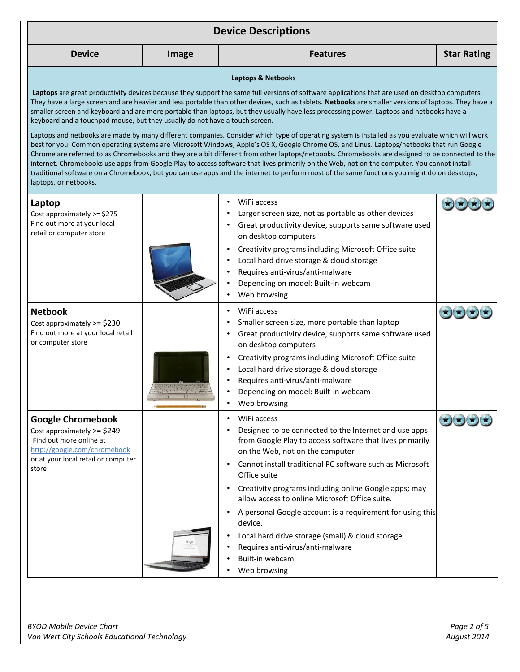| <b>Device Descriptions</b>                                                                                         |       |                                                                                                                                                                                                                                                                                                                                                                                                                                                                                                                                                                                                         |                    |
|--------------------------------------------------------------------------------------------------------------------|-------|---------------------------------------------------------------------------------------------------------------------------------------------------------------------------------------------------------------------------------------------------------------------------------------------------------------------------------------------------------------------------------------------------------------------------------------------------------------------------------------------------------------------------------------------------------------------------------------------------------|--------------------|
| <b>Device</b>                                                                                                      | Image | <b>Features</b>                                                                                                                                                                                                                                                                                                                                                                                                                                                                                                                                                                                         | <b>Star Rating</b> |
|                                                                                                                    |       | Laptops & Netbooks                                                                                                                                                                                                                                                                                                                                                                                                                                                                                                                                                                                      |                    |
| keyboard and a touchpad mouse, but they usually do not have a touch screen.                                        |       | Laptops are great productivity devices because they support the same full versions of software applications that are used on desktop computers.<br>They have a large screen and are heavier and less portable than other devices, such as tablets. Netbooks are smaller versions of laptops. They have a<br>smaller screen and keyboard and are more portable than laptops, but they usually have less processing power. Laptops and netbooks have a<br>Laptops and netbooks are made by many different companies. Consider which type of operating system is installed as you evaluate which will work |                    |
| laptops, or netbooks.                                                                                              |       | best for you. Common operating systems are Microsoft Windows, Apple's OS X, Google Chrome OS, and Linus. Laptops/netbooks that run Google<br>Chrome are referred to as Chromebooks and they are a bit different from other laptops/netbooks. Chromebooks are designed to be connected to the<br>internet. Chromebooks use apps from Google Play to access software that lives primarily on the Web, not on the computer. You cannot install<br>traditional software on a Chromebook, but you can use apps and the internet to perform most of the same functions you might do on desktops,              |                    |
| Laptop<br>Cost approximately >= \$275<br>Find out more at your local<br>retail or computer store                   |       | WiFi access<br>Larger screen size, not as portable as other devices<br>Great productivity device, supports same software used                                                                                                                                                                                                                                                                                                                                                                                                                                                                           |                    |
|                                                                                                                    |       | on desktop computers<br>Creativity programs including Microsoft Office suite<br>Local hard drive storage & cloud storage<br>Requires anti-virus/anti-malware<br>Depending on model: Built-in webcam<br>Web browsing                                                                                                                                                                                                                                                                                                                                                                                     |                    |
| <b>Netbook</b><br>Cost approximately >= \$230<br>Find out more at your local retail<br>or computer store           |       | WiFi access<br>Smaller screen size, more portable than laptop<br>Great productivity device, supports same software used<br>on desktop computers                                                                                                                                                                                                                                                                                                                                                                                                                                                         |                    |
|                                                                                                                    |       | Creativity programs including Microsoft Office suite<br>Local hard drive storage & cloud storage<br>Requires anti-virus/anti-malware<br>Depending on model: Built-in webcam<br>Web browsing                                                                                                                                                                                                                                                                                                                                                                                                             |                    |
| <b>Google Chromebook</b><br>Cost approximately >= \$249<br>Find out more online at<br>http://google.com/chromebook |       | WiFi access<br>Designed to be connected to the Internet and use apps<br>from Google Play to access software that lives primarily<br>on the Web, not on the computer                                                                                                                                                                                                                                                                                                                                                                                                                                     | $\bigcirc$         |
| or at your local retail or computer<br>store                                                                       |       | Cannot install traditional PC software such as Microsoft<br>Office suite<br>Creativity programs including online Google apps; may                                                                                                                                                                                                                                                                                                                                                                                                                                                                       |                    |
|                                                                                                                    |       | allow access to online Microsoft Office suite.<br>A personal Google account is a requirement for using this                                                                                                                                                                                                                                                                                                                                                                                                                                                                                             |                    |
|                                                                                                                    |       | device.<br>Local hard drive storage (small) & cloud storage<br>Requires anti-virus/anti-malware<br>Built-in webcam<br>Web browsing                                                                                                                                                                                                                                                                                                                                                                                                                                                                      |                    |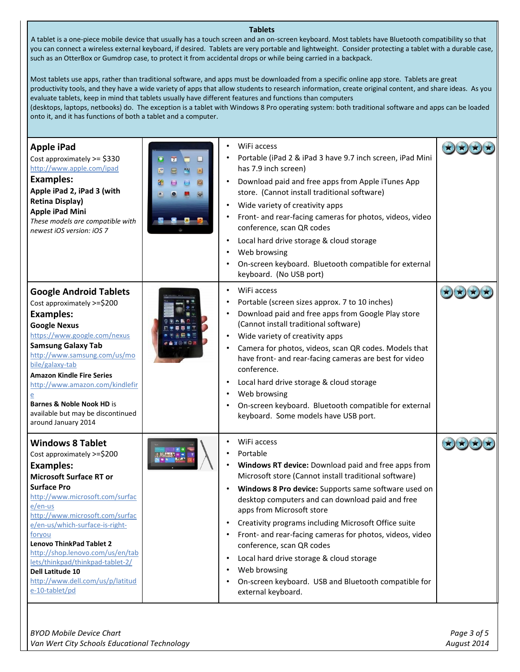## **Tablets**

A tablet is a one-piece mobile device that usually has a touch screen and an on-screen keyboard. Most tablets have Bluetooth compatibility so that you can connect a wireless external keyboard, if desired. Tablets are very portable and lightweight. Consider protecting a tablet with a durable case, such as an OtterBox or Gumdrop case, to protect it from accidental drops or while being carried in a backpack.

Most tablets use apps, rather than traditional software, and apps must be downloaded from a specific online app store. Tablets are great productivity tools, and they have a wide variety of apps that allow students to research information, create original content, and share ideas. As you evaluate tablets, keep in mind that tablets usually have different features and functions than computers

(desktops, laptops, netbooks) do. The exception is a tablet with Windows 8 Pro operating system: both traditional software and apps can be loaded onto it, and it has functions of both a tablet and a computer.

| <b>Apple iPad</b><br>Cost approximately >= \$330<br>http://www.apple.com/ipad<br><b>Examples:</b><br>Apple iPad 2, iPad 3 (with<br><b>Retina Display)</b><br><b>Apple iPad Mini</b><br>These models are compatible with<br>newest iOS version: iOS 7                                                                                                                                                                                                   | $\overline{1}$<br>国 | WiFi access<br>Portable (iPad 2 & iPad 3 have 9.7 inch screen, iPad Mini<br>has 7.9 inch screen)<br>Download paid and free apps from Apple iTunes App<br>store. (Cannot install traditional software)<br>Wide variety of creativity apps<br>Front- and rear-facing cameras for photos, videos, video<br>conference, scan QR codes<br>Local hard drive storage & cloud storage<br>Web browsing<br>On-screen keyboard. Bluetooth compatible for external<br>keyboard. (No USB port)                                                                                           |  |
|--------------------------------------------------------------------------------------------------------------------------------------------------------------------------------------------------------------------------------------------------------------------------------------------------------------------------------------------------------------------------------------------------------------------------------------------------------|---------------------|-----------------------------------------------------------------------------------------------------------------------------------------------------------------------------------------------------------------------------------------------------------------------------------------------------------------------------------------------------------------------------------------------------------------------------------------------------------------------------------------------------------------------------------------------------------------------------|--|
| <b>Google Android Tablets</b><br>Cost approximately >=\$200<br><b>Examples:</b><br><b>Google Nexus</b><br>https://www.google.com/nexus<br><b>Samsung Galaxy Tab</b><br>http://www.samsung.com/us/mo<br>bile/galaxy-tab<br><b>Amazon Kindle Fire Series</b><br>http://www.amazon.com/kindlefir<br><b>Barnes &amp; Noble Nook HD is</b><br>available but may be discontinued<br>around January 2014                                                      |                     | WiFi access<br>Portable (screen sizes approx. 7 to 10 inches)<br>Download paid and free apps from Google Play store<br>(Cannot install traditional software)<br>Wide variety of creativity apps<br>Camera for photos, videos, scan QR codes. Models that<br>have front- and rear-facing cameras are best for video<br>conference.<br>Local hard drive storage & cloud storage<br>Web browsing<br>On-screen keyboard. Bluetooth compatible for external<br>keyboard. Some models have USB port.                                                                              |  |
| <b>Windows 8 Tablet</b><br>Cost approximately >=\$200<br><b>Examples:</b><br><b>Microsoft Surface RT or</b><br><b>Surface Pro</b><br>http://www.microsoft.com/surfac<br>$e/en-us$<br>http://www.microsoft.com/surfac<br>e/en-us/which-surface-is-right-<br>foryou<br><b>Lenovo ThinkPad Tablet 2</b><br>http://shop.lenovo.com/us/en/tab<br>lets/thinkpad/thinkpad-tablet-2/<br>Dell Latitude 10<br>http://www.dell.com/us/p/latitud<br>e-10-tablet/pd |                     | WiFi access<br>Portable<br>Windows RT device: Download paid and free apps from<br>Microsoft store (Cannot install traditional software)<br>Windows 8 Pro device: Supports same software used on<br>desktop computers and can download paid and free<br>apps from Microsoft store<br>Creativity programs including Microsoft Office suite<br>Front- and rear-facing cameras for photos, videos, video<br>conference, scan QR codes<br>Local hard drive storage & cloud storage<br>Web browsing<br>On-screen keyboard. USB and Bluetooth compatible for<br>external keyboard. |  |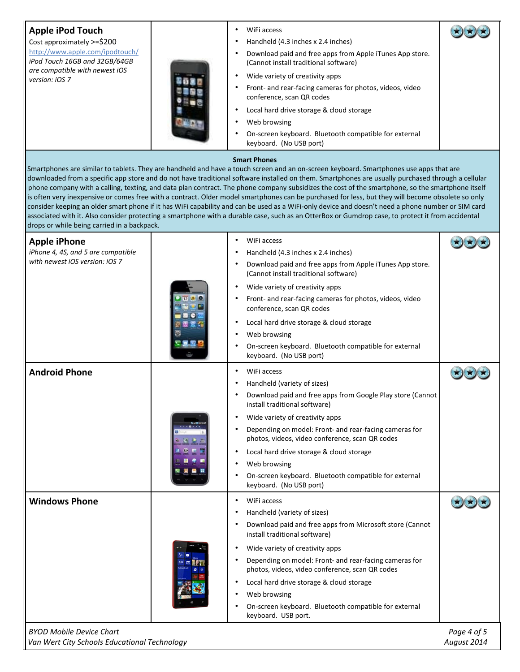| Apple iPod Touch                                                                | WiFi access                                                                                                                                                                                                                                                                                                                                                                                                                                                                                                                                                                                                                                                                                                                                                                                                                                                                                                                           |                            |
|---------------------------------------------------------------------------------|---------------------------------------------------------------------------------------------------------------------------------------------------------------------------------------------------------------------------------------------------------------------------------------------------------------------------------------------------------------------------------------------------------------------------------------------------------------------------------------------------------------------------------------------------------------------------------------------------------------------------------------------------------------------------------------------------------------------------------------------------------------------------------------------------------------------------------------------------------------------------------------------------------------------------------------|----------------------------|
| Cost approximately >=\$200                                                      | Handheld (4.3 inches x 2.4 inches)                                                                                                                                                                                                                                                                                                                                                                                                                                                                                                                                                                                                                                                                                                                                                                                                                                                                                                    |                            |
| http://www.apple.com/ipodtouch/<br>iPod Touch 16GB and 32GB/64GB                | Download paid and free apps from Apple iTunes App store.<br>(Cannot install traditional software)                                                                                                                                                                                                                                                                                                                                                                                                                                                                                                                                                                                                                                                                                                                                                                                                                                     |                            |
| are compatible with newest iOS<br>version: iOS 7                                | Wide variety of creativity apps                                                                                                                                                                                                                                                                                                                                                                                                                                                                                                                                                                                                                                                                                                                                                                                                                                                                                                       |                            |
|                                                                                 | Front- and rear-facing cameras for photos, videos, video<br>conference, scan QR codes                                                                                                                                                                                                                                                                                                                                                                                                                                                                                                                                                                                                                                                                                                                                                                                                                                                 |                            |
|                                                                                 | Local hard drive storage & cloud storage                                                                                                                                                                                                                                                                                                                                                                                                                                                                                                                                                                                                                                                                                                                                                                                                                                                                                              |                            |
|                                                                                 | Web browsing                                                                                                                                                                                                                                                                                                                                                                                                                                                                                                                                                                                                                                                                                                                                                                                                                                                                                                                          |                            |
|                                                                                 | On-screen keyboard. Bluetooth compatible for external<br>keyboard. (No USB port)                                                                                                                                                                                                                                                                                                                                                                                                                                                                                                                                                                                                                                                                                                                                                                                                                                                      |                            |
|                                                                                 | <b>Smart Phones</b><br>Smartphones are similar to tablets. They are handheld and have a touch screen and an on-screen keyboard. Smartphones use apps that are<br>downloaded from a specific app store and do not have traditional software installed on them. Smartphones are usually purchased through a cellular<br>phone company with a calling, texting, and data plan contract. The phone company subsidizes the cost of the smartphone, so the smartphone itself<br>is often very inexpensive or comes free with a contract. Older model smartphones can be purchased for less, but they will become obsolete so only<br>consider keeping an older smart phone if it has WiFi capability and can be used as a WiFi-only device and doesn't need a phone number or SIM card<br>associated with it. Also consider protecting a smartphone with a durable case, such as an OtterBox or Gumdrop case, to protect it from accidental |                            |
| drops or while being carried in a backpack.                                     |                                                                                                                                                                                                                                                                                                                                                                                                                                                                                                                                                                                                                                                                                                                                                                                                                                                                                                                                       |                            |
| <b>Apple iPhone</b>                                                             | WiFi access                                                                                                                                                                                                                                                                                                                                                                                                                                                                                                                                                                                                                                                                                                                                                                                                                                                                                                                           |                            |
| iPhone 4, 4S, and 5 are compatible<br>with newest iOS version: iOS 7            | Handheld (4.3 inches x 2.4 inches)                                                                                                                                                                                                                                                                                                                                                                                                                                                                                                                                                                                                                                                                                                                                                                                                                                                                                                    |                            |
|                                                                                 | Download paid and free apps from Apple iTunes App store.<br>(Cannot install traditional software)                                                                                                                                                                                                                                                                                                                                                                                                                                                                                                                                                                                                                                                                                                                                                                                                                                     |                            |
|                                                                                 | Wide variety of creativity apps                                                                                                                                                                                                                                                                                                                                                                                                                                                                                                                                                                                                                                                                                                                                                                                                                                                                                                       |                            |
|                                                                                 | Front- and rear-facing cameras for photos, videos, video<br>conference, scan QR codes                                                                                                                                                                                                                                                                                                                                                                                                                                                                                                                                                                                                                                                                                                                                                                                                                                                 |                            |
|                                                                                 | ٠                                                                                                                                                                                                                                                                                                                                                                                                                                                                                                                                                                                                                                                                                                                                                                                                                                                                                                                                     |                            |
|                                                                                 | Local hard drive storage & cloud storage<br>Web browsing                                                                                                                                                                                                                                                                                                                                                                                                                                                                                                                                                                                                                                                                                                                                                                                                                                                                              |                            |
|                                                                                 | On-screen keyboard. Bluetooth compatible for external                                                                                                                                                                                                                                                                                                                                                                                                                                                                                                                                                                                                                                                                                                                                                                                                                                                                                 |                            |
|                                                                                 | keyboard. (No USB port)                                                                                                                                                                                                                                                                                                                                                                                                                                                                                                                                                                                                                                                                                                                                                                                                                                                                                                               |                            |
| <b>Android Phone</b>                                                            | WiFi access                                                                                                                                                                                                                                                                                                                                                                                                                                                                                                                                                                                                                                                                                                                                                                                                                                                                                                                           |                            |
|                                                                                 | Handheld (variety of sizes)                                                                                                                                                                                                                                                                                                                                                                                                                                                                                                                                                                                                                                                                                                                                                                                                                                                                                                           |                            |
|                                                                                 | Download paid and free apps from Google Play store (Cannot<br>install traditional software)                                                                                                                                                                                                                                                                                                                                                                                                                                                                                                                                                                                                                                                                                                                                                                                                                                           |                            |
|                                                                                 | Wide variety of creativity apps<br>٠                                                                                                                                                                                                                                                                                                                                                                                                                                                                                                                                                                                                                                                                                                                                                                                                                                                                                                  |                            |
|                                                                                 | Depending on model: Front- and rear-facing cameras for<br>photos, videos, video conference, scan QR codes                                                                                                                                                                                                                                                                                                                                                                                                                                                                                                                                                                                                                                                                                                                                                                                                                             |                            |
|                                                                                 | Local hard drive storage & cloud storage<br>٠                                                                                                                                                                                                                                                                                                                                                                                                                                                                                                                                                                                                                                                                                                                                                                                                                                                                                         |                            |
|                                                                                 | Web browsing                                                                                                                                                                                                                                                                                                                                                                                                                                                                                                                                                                                                                                                                                                                                                                                                                                                                                                                          |                            |
|                                                                                 | On-screen keyboard. Bluetooth compatible for external<br>keyboard. (No USB port)                                                                                                                                                                                                                                                                                                                                                                                                                                                                                                                                                                                                                                                                                                                                                                                                                                                      |                            |
| <b>Windows Phone</b>                                                            | WiFi access<br>٠                                                                                                                                                                                                                                                                                                                                                                                                                                                                                                                                                                                                                                                                                                                                                                                                                                                                                                                      |                            |
|                                                                                 | Handheld (variety of sizes)                                                                                                                                                                                                                                                                                                                                                                                                                                                                                                                                                                                                                                                                                                                                                                                                                                                                                                           |                            |
|                                                                                 | Download paid and free apps from Microsoft store (Cannot<br>install traditional software)                                                                                                                                                                                                                                                                                                                                                                                                                                                                                                                                                                                                                                                                                                                                                                                                                                             |                            |
|                                                                                 | Wide variety of creativity apps                                                                                                                                                                                                                                                                                                                                                                                                                                                                                                                                                                                                                                                                                                                                                                                                                                                                                                       |                            |
|                                                                                 | Depending on model: Front- and rear-facing cameras for<br>photos, videos, video conference, scan QR codes                                                                                                                                                                                                                                                                                                                                                                                                                                                                                                                                                                                                                                                                                                                                                                                                                             |                            |
|                                                                                 | Local hard drive storage & cloud storage<br>$\bullet$                                                                                                                                                                                                                                                                                                                                                                                                                                                                                                                                                                                                                                                                                                                                                                                                                                                                                 |                            |
|                                                                                 | Web browsing                                                                                                                                                                                                                                                                                                                                                                                                                                                                                                                                                                                                                                                                                                                                                                                                                                                                                                                          |                            |
|                                                                                 | On-screen keyboard. Bluetooth compatible for external<br>keyboard. USB port.                                                                                                                                                                                                                                                                                                                                                                                                                                                                                                                                                                                                                                                                                                                                                                                                                                                          |                            |
| <b>BYOD Mobile Device Chart</b><br>Van Wert City Schools Educational Technology |                                                                                                                                                                                                                                                                                                                                                                                                                                                                                                                                                                                                                                                                                                                                                                                                                                                                                                                                       | Page 4 of 5<br>August 2014 |